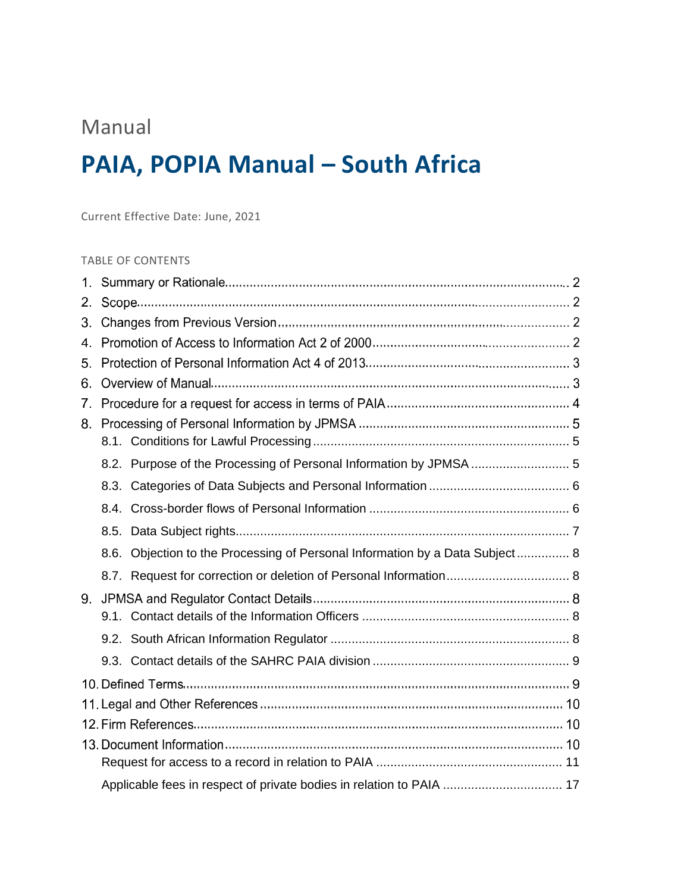# Manual

# **PAIA, POPIA Manual – South Africa**

Current Effective Date: June, 2021

### TABLE OF CONTENTS

| 2. |                                                                              |  |  |  |  |  |
|----|------------------------------------------------------------------------------|--|--|--|--|--|
| 3. |                                                                              |  |  |  |  |  |
| 4. |                                                                              |  |  |  |  |  |
| 5. |                                                                              |  |  |  |  |  |
| 6. |                                                                              |  |  |  |  |  |
| 7. |                                                                              |  |  |  |  |  |
| 8. |                                                                              |  |  |  |  |  |
|    |                                                                              |  |  |  |  |  |
|    | 8.2. Purpose of the Processing of Personal Information by JPMSA  5           |  |  |  |  |  |
|    |                                                                              |  |  |  |  |  |
|    |                                                                              |  |  |  |  |  |
|    |                                                                              |  |  |  |  |  |
|    | 8.6. Objection to the Processing of Personal Information by a Data Subject 8 |  |  |  |  |  |
|    |                                                                              |  |  |  |  |  |
| 9. |                                                                              |  |  |  |  |  |
|    |                                                                              |  |  |  |  |  |
|    |                                                                              |  |  |  |  |  |
|    |                                                                              |  |  |  |  |  |
|    |                                                                              |  |  |  |  |  |
|    |                                                                              |  |  |  |  |  |
|    |                                                                              |  |  |  |  |  |
|    |                                                                              |  |  |  |  |  |
|    |                                                                              |  |  |  |  |  |
|    |                                                                              |  |  |  |  |  |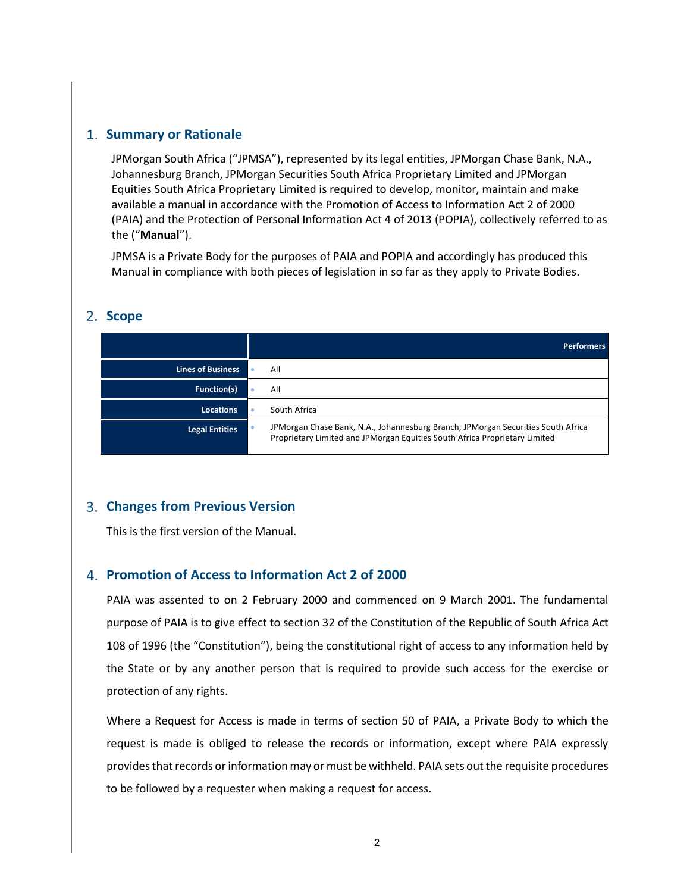### **Summary or Rationale**

JPMorgan South Africa ("JPMSA"), represented by its legal entities, JPMorgan Chase Bank, N.A., Johannesburg Branch, JPMorgan Securities South Africa Proprietary Limited and JPMorgan Equities South Africa Proprietary Limited is required to develop, monitor, maintain and make available a manual in accordance with the Promotion of Access to Information Act 2 of 2000 (PAIA) and the Protection of Personal Information Act 4 of 2013 (POPIA), collectively referred to as the ("**Manual**").

JPMSA is a Private Body for the purposes of PAIA and POPIA and accordingly has produced this Manual in compliance with both pieces of legislation in so far as they apply to Private Bodies.

### **Scope**

|                          | <b>Performers</b>                                                                                                                                                |
|--------------------------|------------------------------------------------------------------------------------------------------------------------------------------------------------------|
| <b>Lines of Business</b> | All                                                                                                                                                              |
| <b>Function(s)</b>       | All                                                                                                                                                              |
| <b>Locations</b>         | South Africa                                                                                                                                                     |
| <b>Legal Entities</b>    | JPM organ Chase Bank, N.A., Johannesburg Branch, JPM organ Securities South Africa<br>Proprietary Limited and JPMorgan Equities South Africa Proprietary Limited |

### **Changes from Previous Version**

This is the first version of the Manual.

### **Promotion of Access to Information Act 2 of 2000**

PAIA was assented to on 2 February 2000 and commenced on 9 March 2001. The fundamental purpose of PAIA is to give effect to section 32 of the Constitution of the Republic of South Africa Act 108 of 1996 (the "Constitution"), being the constitutional right of access to any information held by the State or by any another person that is required to provide such access for the exercise or protection of any rights.

Where a Request for Access is made in terms of section 50 of PAIA, a Private Body to which the request is made is obliged to release the records or information, except where PAIA expressly providesthat records or information may or must be withheld. PAIA sets out the requisite procedures to be followed by a requester when making a request for access.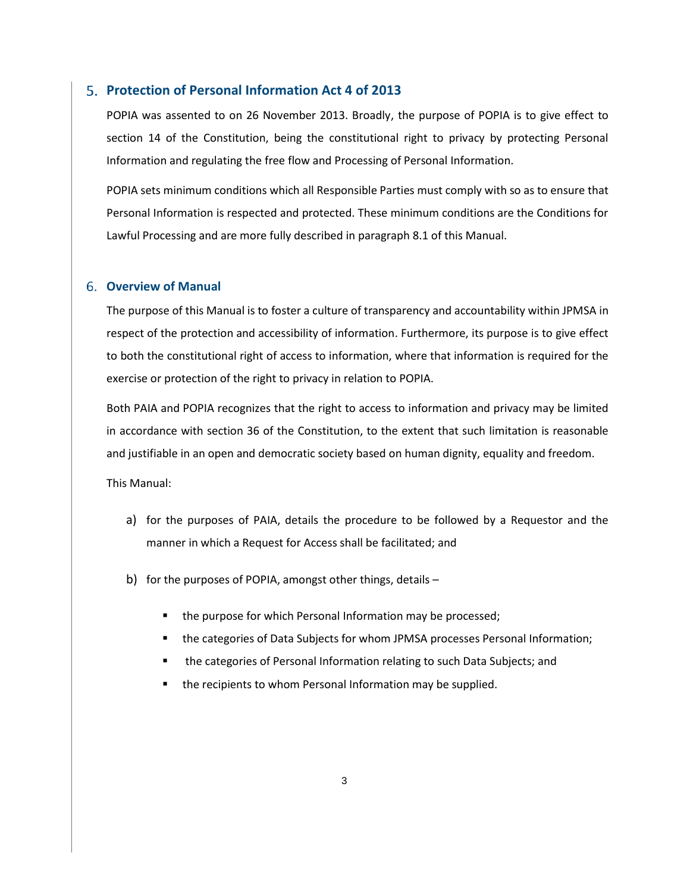#### **Protection of Personal Information Act 4 of 2013**

POPIA was assented to on 26 November 2013. Broadly, the purpose of POPIA is to give effect to section 14 of the Constitution, being the constitutional right to privacy by protecting Personal Information and regulating the free flow and Processing of Personal Information.

POPIA sets minimum conditions which all Responsible Parties must comply with so as to ensure that Personal Information is respected and protected. These minimum conditions are the Conditions for Lawful Processing and are more fully described in paragraph 8.1 of this Manual.

#### **Overview of Manual**

The purpose of this Manual is to foster a culture of transparency and accountability within JPMSA in respect of the protection and accessibility of information. Furthermore, its purpose is to give effect to both the constitutional right of access to information, where that information is required for the exercise or protection of the right to privacy in relation to POPIA.

Both PAIA and POPIA recognizes that the right to access to information and privacy may be limited in accordance with section 36 of the Constitution, to the extent that such limitation is reasonable and justifiable in an open and democratic society based on human dignity, equality and freedom.

This Manual:

- a) for the purposes of PAIA, details the procedure to be followed by a Requestor and the manner in which a Request for Access shall be facilitated; and
- b) for the purposes of POPIA, amongst other things, details
	- the purpose for which Personal Information may be processed;
	- the categories of Data Subjects for whom JPMSA processes Personal Information;
	- the categories of Personal Information relating to such Data Subjects; and
	- the recipients to whom Personal Information may be supplied.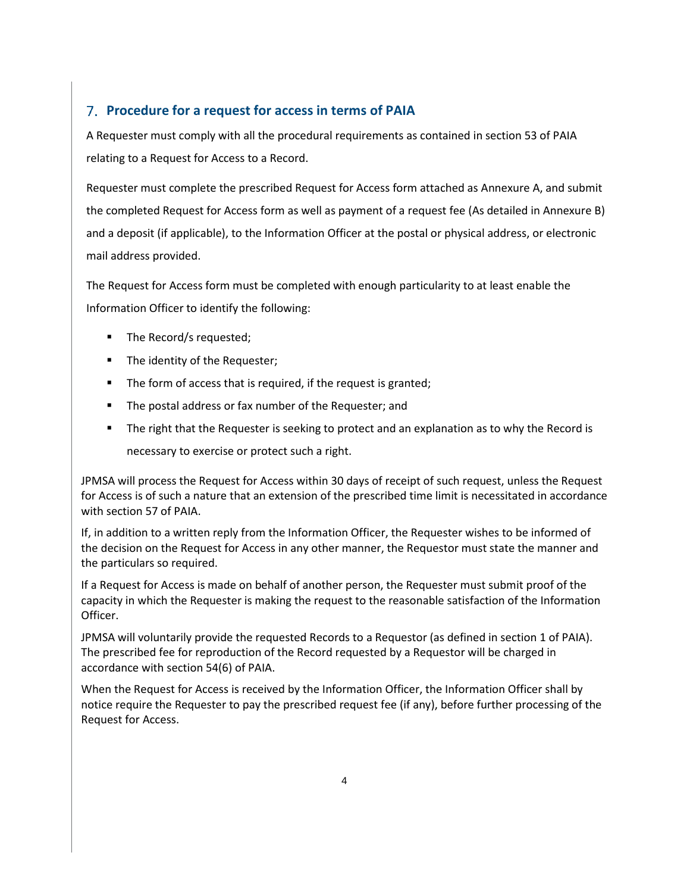# **Procedure for a request for access in terms of PAIA**

A Requester must comply with all the procedural requirements as contained in section 53 of PAIA relating to a Request for Access to a Record.

Requester must complete the prescribed Request for Access form attached as Annexure A, and submit the completed Request for Access form as well as payment of a request fee (As detailed in Annexure B) and a deposit (if applicable), to the Information Officer at the postal or physical address, or electronic mail address provided.

The Request for Access form must be completed with enough particularity to at least enable the Information Officer to identify the following:

- The Record/s requested;
- The identity of the Requester;
- The form of access that is required, if the request is granted;
- The postal address or fax number of the Requester; and
- The right that the Requester is seeking to protect and an explanation as to why the Record is necessary to exercise or protect such a right.

JPMSA will process the Request for Access within 30 days of receipt of such request, unless the Request for Access is of such a nature that an extension of the prescribed time limit is necessitated in accordance with section 57 of PAIA.

If, in addition to a written reply from the Information Officer, the Requester wishes to be informed of the decision on the Request for Access in any other manner, the Requestor must state the manner and the particulars so required.

If a Request for Access is made on behalf of another person, the Requester must submit proof of the capacity in which the Requester is making the request to the reasonable satisfaction of the Information Officer.

JPMSA will voluntarily provide the requested Records to a Requestor (as defined in section 1 of PAIA). The prescribed fee for reproduction of the Record requested by a Requestor will be charged in accordance with section 54(6) of PAIA.

When the Request for Access is received by the Information Officer, the Information Officer shall by notice require the Requester to pay the prescribed request fee (if any), before further processing of the Request for Access.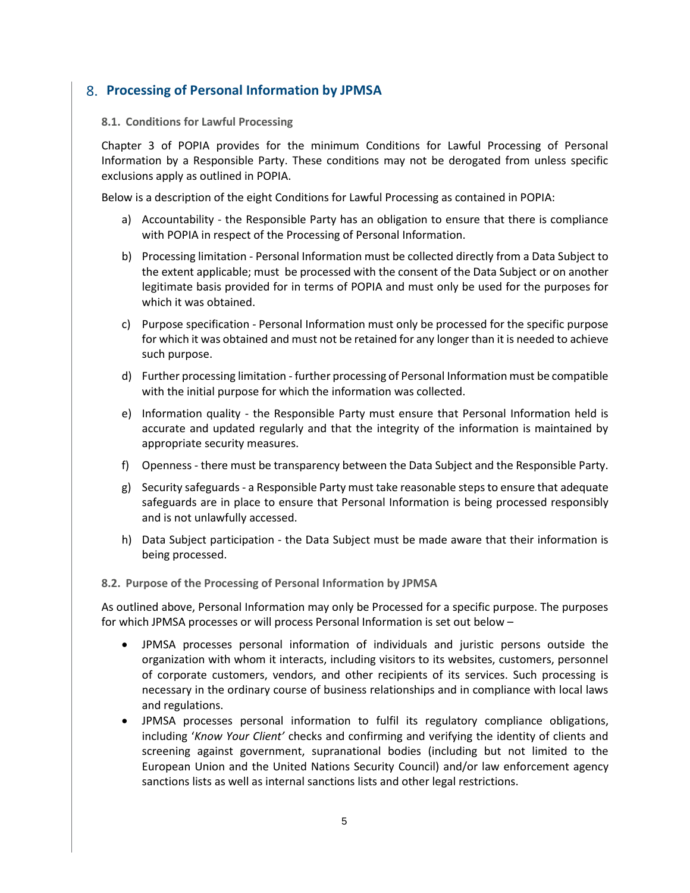# **Processing of Personal Information by JPMSA**

### <span id="page-4-0"></span>**8.1. Conditions for Lawful Processing**

Chapter 3 of POPIA provides for the minimum Conditions for Lawful Processing of Personal Information by a Responsible Party. These conditions may not be derogated from unless specific exclusions apply as outlined in POPIA.

Below is a description of the eight Conditions for Lawful Processing as contained in POPIA:

- a) Accountability the Responsible Party has an obligation to ensure that there is compliance with POPIA in respect of the Processing of Personal Information.
- b) Processing limitation Personal Information must be collected directly from a Data Subject to the extent applicable; must be processed with the consent of the Data Subject or on another legitimate basis provided for in terms of POPIA and must only be used for the purposes for which it was obtained.
- c) Purpose specification Personal Information must only be processed for the specific purpose for which it was obtained and must not be retained for any longer than it is needed to achieve such purpose.
- d) Further processing limitation further processing of Personal Information must be compatible with the initial purpose for which the information was collected.
- e) Information quality the Responsible Party must ensure that Personal Information held is accurate and updated regularly and that the integrity of the information is maintained by appropriate security measures.
- f) Openness there must be transparency between the Data Subject and the Responsible Party.
- g) Security safeguards a Responsible Party must take reasonable steps to ensure that adequate safeguards are in place to ensure that Personal Information is being processed responsibly and is not unlawfully accessed.
- h) Data Subject participation the Data Subject must be made aware that their information is being processed.

#### <span id="page-4-1"></span>**8.2. Purpose of the Processing of Personal Information by JPMSA**

As outlined above, Personal Information may only be Processed for a specific purpose. The purposes for which JPMSA processes or will process Personal Information is set out below –

- JPMSA processes personal information of individuals and juristic persons outside the organization with whom it interacts, including visitors to its websites, customers, personnel of corporate customers, vendors, and other recipients of its services. Such processing is necessary in the ordinary course of business relationships and in compliance with local laws and regulations.
- JPMSA processes personal information to fulfil its regulatory compliance obligations, including '*Know Your Client'* checks and confirming and verifying the identity of clients and screening against government, supranational bodies (including but not limited to the European Union and the United Nations Security Council) and/or law enforcement agency sanctions lists as well as internal sanctions lists and other legal restrictions.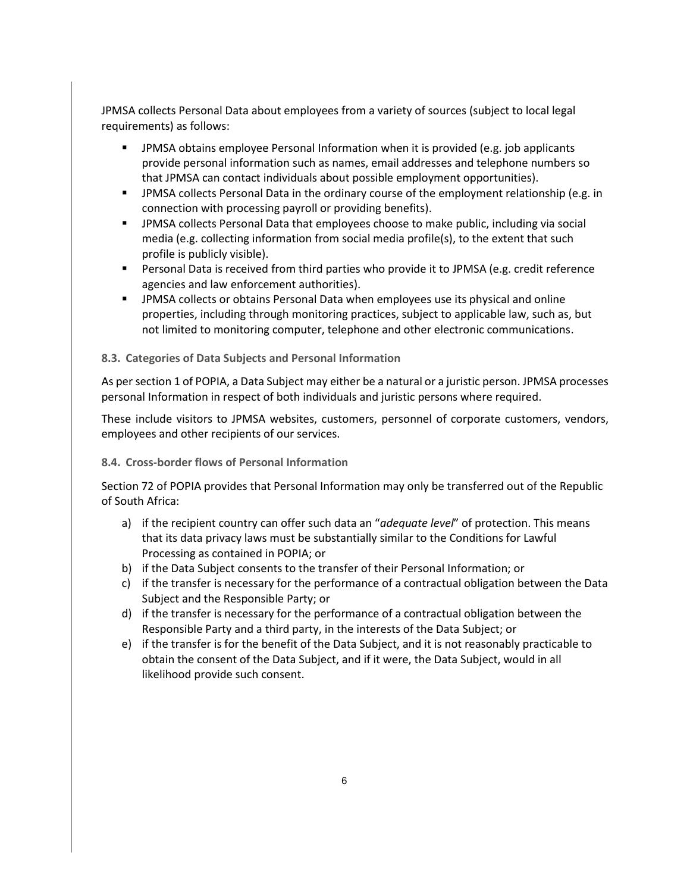JPMSA collects Personal Data about employees from a variety of sources (subject to local legal requirements) as follows:

- **■** JPMSA obtains employee Personal Information when it is provided (e.g. job applicants provide personal information such as names, email addresses and telephone numbers so that JPMSA can contact individuals about possible employment opportunities).
- JPMSA collects Personal Data in the ordinary course of the employment relationship (e.g. in connection with processing payroll or providing benefits).
- **■** JPMSA collects Personal Data that employees choose to make public, including via social media (e.g. collecting information from social media profile(s), to the extent that such profile is publicly visible).
- Personal Data is received from third parties who provide it to JPMSA (e.g. credit reference agencies and law enforcement authorities).
- **JPMSA collects or obtains Personal Data when employees use its physical and online** properties, including through monitoring practices, subject to applicable law, such as, but not limited to monitoring computer, telephone and other electronic communications.

#### <span id="page-5-0"></span>**8.3. Categories of Data Subjects and Personal Information**

As per section 1 of POPIA, a Data Subject may either be a natural or a juristic person. JPMSA processes personal Information in respect of both individuals and juristic persons where required.

These include visitors to JPMSA websites, customers, personnel of corporate customers, vendors, employees and other recipients of our services.

#### <span id="page-5-1"></span>**8.4. Cross-border flows of Personal Information**

Section 72 of POPIA provides that Personal Information may only be transferred out of the Republic of South Africa:

- a) if the recipient country can offer such data an "*adequate level*" of protection. This means that its data privacy laws must be substantially similar to the Conditions for Lawful Processing as contained in POPIA; or
- b) if the Data Subject consents to the transfer of their Personal Information; or
- c) if the transfer is necessary for the performance of a contractual obligation between the Data Subject and the Responsible Party; or
- d) if the transfer is necessary for the performance of a contractual obligation between the Responsible Party and a third party, in the interests of the Data Subject; or
- e) if the transfer is for the benefit of the Data Subject, and it is not reasonably practicable to obtain the consent of the Data Subject, and if it were, the Data Subject, would in all likelihood provide such consent.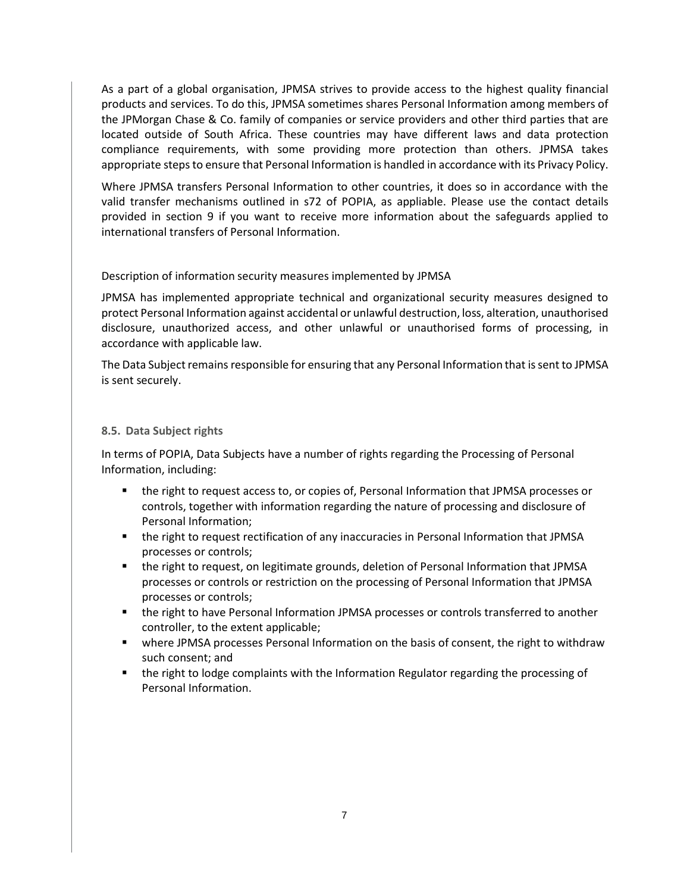As a part of a global organisation, JPMSA strives to provide access to the highest quality financial products and services. To do this, JPMSA sometimes shares Personal Information among members of the JPMorgan Chase & Co. family of companies or service providers and other third parties that are located outside of South Africa. These countries may have different laws and data protection compliance requirements, with some providing more protection than others. JPMSA takes appropriate steps to ensure that Personal Information is handled in accordance with its Privacy Policy.

Where JPMSA transfers Personal Information to other countries, it does so in accordance with the valid transfer mechanisms outlined in s72 of POPIA, as appliable. Please use the contact details provided in section 9 if you want to receive more information about the safeguards applied to international transfers of Personal Information.

### Description of information security measures implemented by JPMSA

JPMSA has implemented appropriate technical and organizational security measures designed to protect Personal Information against accidental or unlawful destruction, loss, alteration, unauthorised disclosure, unauthorized access, and other unlawful or unauthorised forms of processing, in accordance with applicable law.

The Data Subject remains responsible for ensuring that any Personal Information that is sent to JPMSA is sent securely.

### <span id="page-6-0"></span>**8.5. Data Subject rights**

In terms of POPIA, Data Subjects have a number of rights regarding the Processing of Personal Information, including:

- the right to request access to, or copies of, Personal Information that JPMSA processes or controls, together with information regarding the nature of processing and disclosure of Personal Information;
- the right to request rectification of any inaccuracies in Personal Information that JPMSA processes or controls;
- the right to request, on legitimate grounds, deletion of Personal Information that JPMSA processes or controls or restriction on the processing of Personal Information that JPMSA processes or controls;
- the right to have Personal Information JPMSA processes or controls transferred to another controller, to the extent applicable;
- where JPMSA processes Personal Information on the basis of consent, the right to withdraw such consent; and
- the right to lodge complaints with the Information Regulator regarding the processing of Personal Information.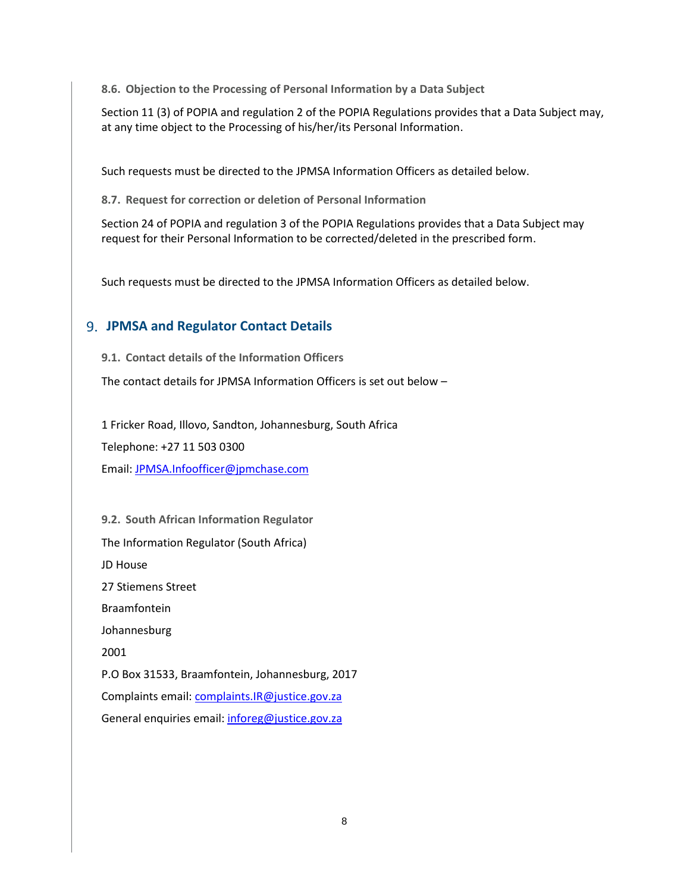<span id="page-7-0"></span>**8.6. Objection to the Processing of Personal Information by a Data Subject**

Section 11 (3) of POPIA and regulation 2 of the POPIA Regulations provides that a Data Subject may, at any time object to the Processing of his/her/its Personal Information.

Such requests must be directed to the JPMSA Information Officers as detailed below.

<span id="page-7-1"></span>**8.7. Request for correction or deletion of Personal Information**

Section 24 of POPIA and regulation 3 of the POPIA Regulations provides that a Data Subject may request for their Personal Information to be corrected/deleted in the prescribed form.

Such requests must be directed to the JPMSA Information Officers as detailed below.

# **JPMSA and Regulator Contact Details**

<span id="page-7-2"></span>**9.1. Contact details of the Information Officers**

The contact details for JPMSA Information Officers is set out below –

1 Fricker Road, Illovo, Sandton, Johannesburg, South Africa

Telephone: +27 11 503 0300

Email: [JPMSA.Infoofficer@jpmchase.com](mailto:JPMSA.Infoofficer@jpmchase.com)

<span id="page-7-3"></span>**9.2. South African Information Regulator** The Information Regulator (South Africa) JD House 27 Stiemens Street Braamfontein Johannesburg 2001 P.O Box 31533, Braamfontein, Johannesburg, 2017 Complaints email: [complaints.IR@justice.gov.za](mailto:complaints.IR@justice.gov.za) General enquiries email: [inforeg@justice.gov.za](mailto:inforeg@justice.gov.za)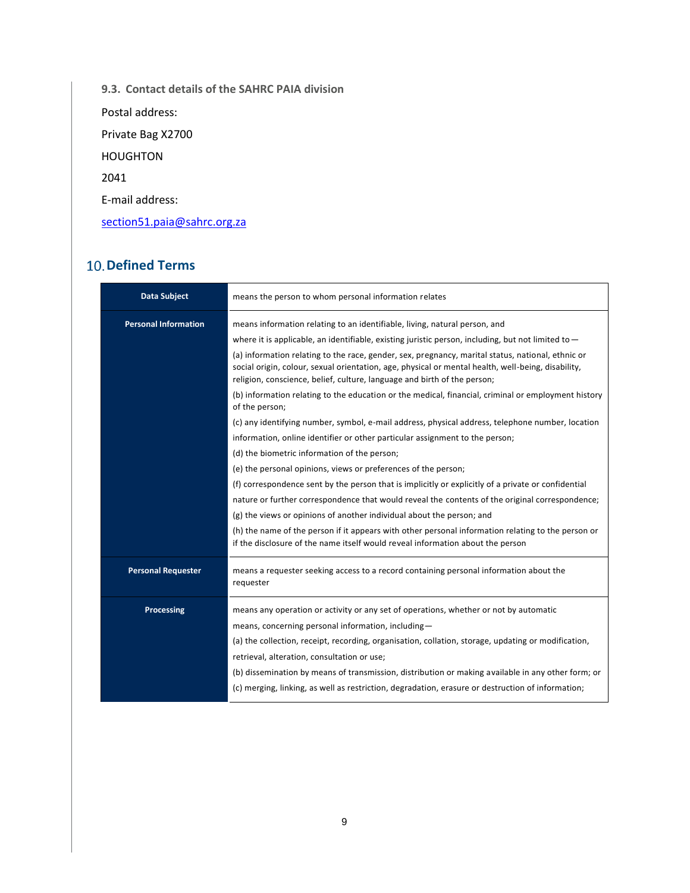<span id="page-8-0"></span>**9.3. Contact details of the SAHRC PAIA division** 

Postal address:

Private Bag X2700

HOUGHTON

2041

E-mail address:

[section51.paia@sahrc.org.za](mailto:section51.paia@sahrc.org.za)

# **10. Defined Terms**

| <b>Data Subject</b>         | means the person to whom personal information relates                                                                                                                                                                                                                                                                                                                                                                                                                                                                                                                                                                                                                                                  |  |  |  |  |
|-----------------------------|--------------------------------------------------------------------------------------------------------------------------------------------------------------------------------------------------------------------------------------------------------------------------------------------------------------------------------------------------------------------------------------------------------------------------------------------------------------------------------------------------------------------------------------------------------------------------------------------------------------------------------------------------------------------------------------------------------|--|--|--|--|
| <b>Personal Information</b> | means information relating to an identifiable, living, natural person, and<br>where it is applicable, an identifiable, existing juristic person, including, but not limited to $-$<br>(a) information relating to the race, gender, sex, pregnancy, marital status, national, ethnic or<br>social origin, colour, sexual orientation, age, physical or mental health, well-being, disability,<br>religion, conscience, belief, culture, language and birth of the person;<br>(b) information relating to the education or the medical, financial, criminal or employment history<br>of the person;<br>(c) any identifying number, symbol, e-mail address, physical address, telephone number, location |  |  |  |  |
|                             | information, online identifier or other particular assignment to the person;<br>(d) the biometric information of the person;<br>(e) the personal opinions, views or preferences of the person;<br>(f) correspondence sent by the person that is implicitly or explicitly of a private or confidential<br>nature or further correspondence that would reveal the contents of the original correspondence;<br>(g) the views or opinions of another individual about the person; and<br>(h) the name of the person if it appears with other personal information relating to the person or<br>if the disclosure of the name itself would reveal information about the person                              |  |  |  |  |
| <b>Personal Requester</b>   | means a requester seeking access to a record containing personal information about the<br>requester                                                                                                                                                                                                                                                                                                                                                                                                                                                                                                                                                                                                    |  |  |  |  |
| <b>Processing</b>           | means any operation or activity or any set of operations, whether or not by automatic<br>means, concerning personal information, including-<br>(a) the collection, receipt, recording, organisation, collation, storage, updating or modification,<br>retrieval, alteration, consultation or use;<br>(b) dissemination by means of transmission, distribution or making available in any other form; or<br>(c) merging, linking, as well as restriction, degradation, erasure or destruction of information;                                                                                                                                                                                           |  |  |  |  |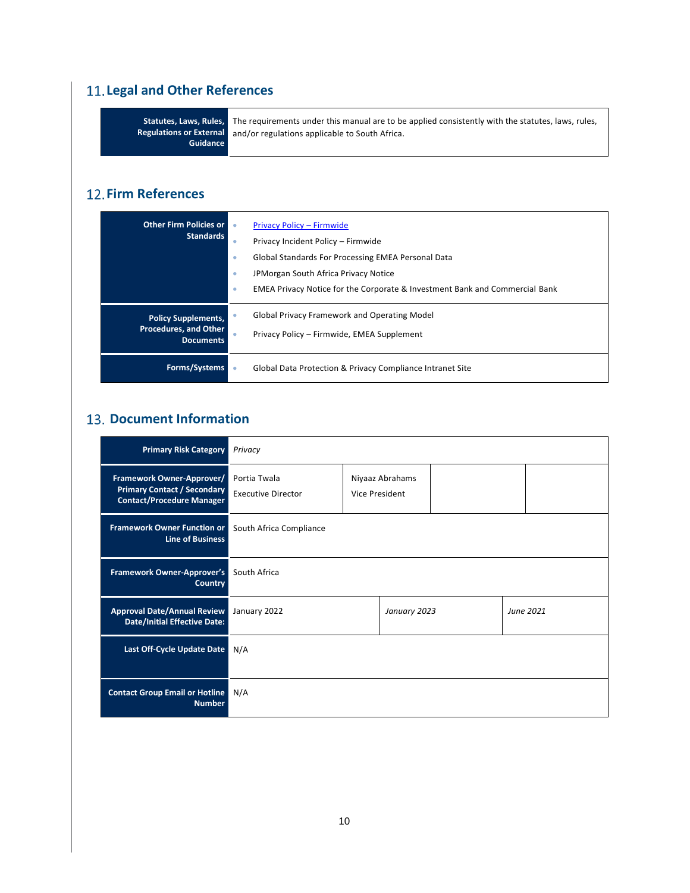# **Legal and Other References**

|                 | Statutes, Laws, Rules, The requirements under this manual are to be applied consistently with the statutes, laws, rules, |
|-----------------|--------------------------------------------------------------------------------------------------------------------------|
|                 | Regulations or External and/or regulations applicable to South Africa.                                                   |
| <b>Guidance</b> |                                                                                                                          |

# **12. Firm References**

| <b>Other Firm Policies or</b><br><b>Standards</b>                              | ۰<br>۰<br>۰<br>۰ | Privacy Policy - Firmwide<br>Privacy Incident Policy - Firmwide<br>Global Standards For Processing EMEA Personal Data<br>JPMorgan South Africa Privacy Notice<br><b>EMEA Privacy Notice for the Corporate &amp; Investment Bank and Commercial Bank</b> |
|--------------------------------------------------------------------------------|------------------|---------------------------------------------------------------------------------------------------------------------------------------------------------------------------------------------------------------------------------------------------------|
| <b>Policy Supplements,</b><br><b>Procedures, and Other</b><br><b>Documents</b> |                  | <b>Global Privacy Framework and Operating Model</b><br>Privacy Policy - Firmwide, EMEA Supplement                                                                                                                                                       |
| Forms/Systems                                                                  |                  | Global Data Protection & Privacy Compliance Intranet Site                                                                                                                                                                                               |

# **13. Document Information**

| <b>Primary Risk Category</b>                                                                        | Privacy                                   |                                   |              |  |           |  |
|-----------------------------------------------------------------------------------------------------|-------------------------------------------|-----------------------------------|--------------|--|-----------|--|
| Framework Owner-Approver/<br><b>Primary Contact / Secondary</b><br><b>Contact/Procedure Manager</b> | Portia Twala<br><b>Executive Director</b> | Niyaaz Abrahams<br>Vice President |              |  |           |  |
| <b>Framework Owner Function or</b><br><b>Line of Business</b>                                       | South Africa Compliance                   |                                   |              |  |           |  |
| <b>Framework Owner-Approver's</b><br><b>Country</b>                                                 | South Africa                              |                                   |              |  |           |  |
| <b>Approval Date/Annual Review</b><br><b>Date/Initial Effective Date:</b>                           | January 2022                              |                                   | January 2023 |  | June 2021 |  |
| Last Off-Cycle Update Date                                                                          | N/A                                       |                                   |              |  |           |  |
| <b>Contact Group Email or Hotline</b><br><b>Number</b>                                              | N/A                                       |                                   |              |  |           |  |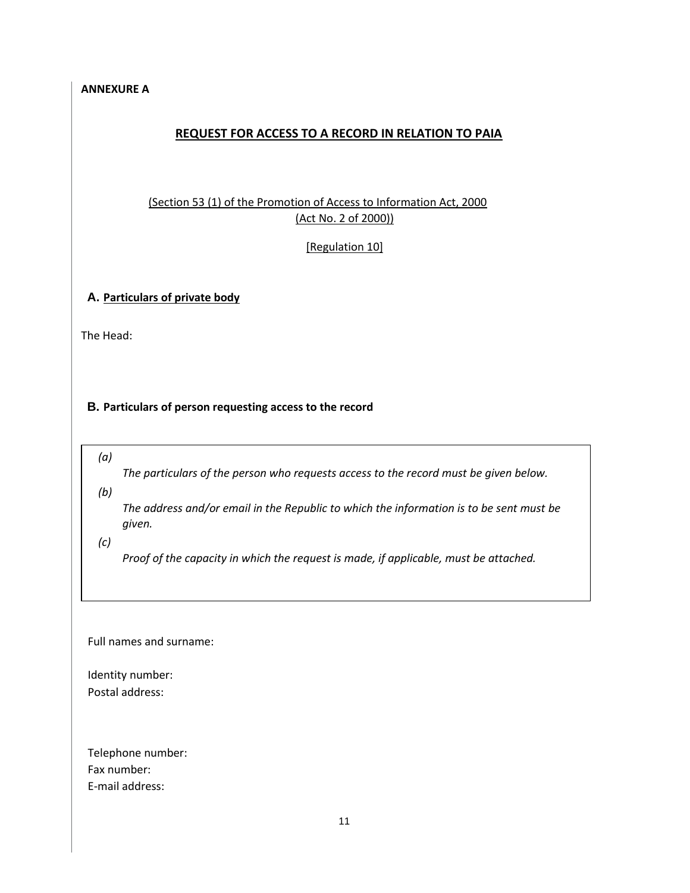### <span id="page-10-0"></span>**ANNEXURE A**

# **REQUEST FOR ACCESS TO A RECORD IN RELATION TO PAIA**

# (Section 53 (1) of the Promotion of Access to Information Act, 2000 (Act No. 2 of 2000))

[Regulation 10]

### **A. Particulars of private body**

The Head:

### **B. Particulars of person requesting access to the record**

*(a)* 

*The particulars of the person who requests access to the record must be given below.* 

*(b)* 

*The address and/or email in the Republic to which the information is to be sent must be given.* 

*(c)* 

*Proof of the capacity in which the request is made, if applicable, must be attached.* 

Full names and surname:

Identity number: Postal address:

Telephone number: Fax number: E-mail address: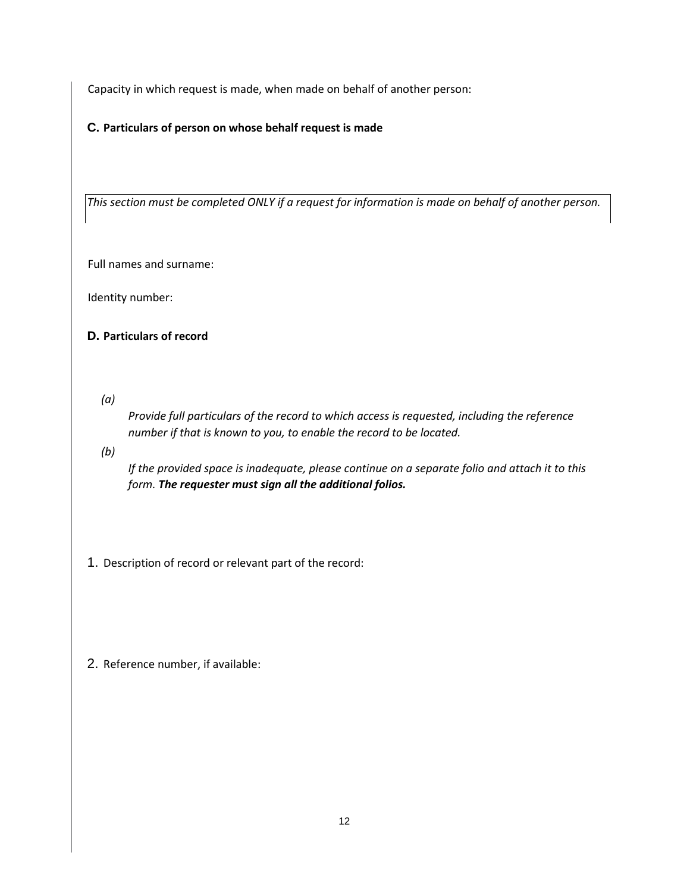Capacity in which request is made, when made on behalf of another person:

# **C. Particulars of person on whose behalf request is made**

*This section must be completed ONLY if a request for information is made on behalf of another person.*

Full names and surname:

Identity number:

# **D. Particulars of record**

*(a)* 

*Provide full particulars of the record to which access is requested, including the reference number if that is known to you, to enable the record to be located.*

*(b)* 

*If the provided space is inadequate, please continue on a separate folio and attach it to this form. The requester must sign all the additional folios.*

- 1. Description of record or relevant part of the record:
- 2. Reference number, if available: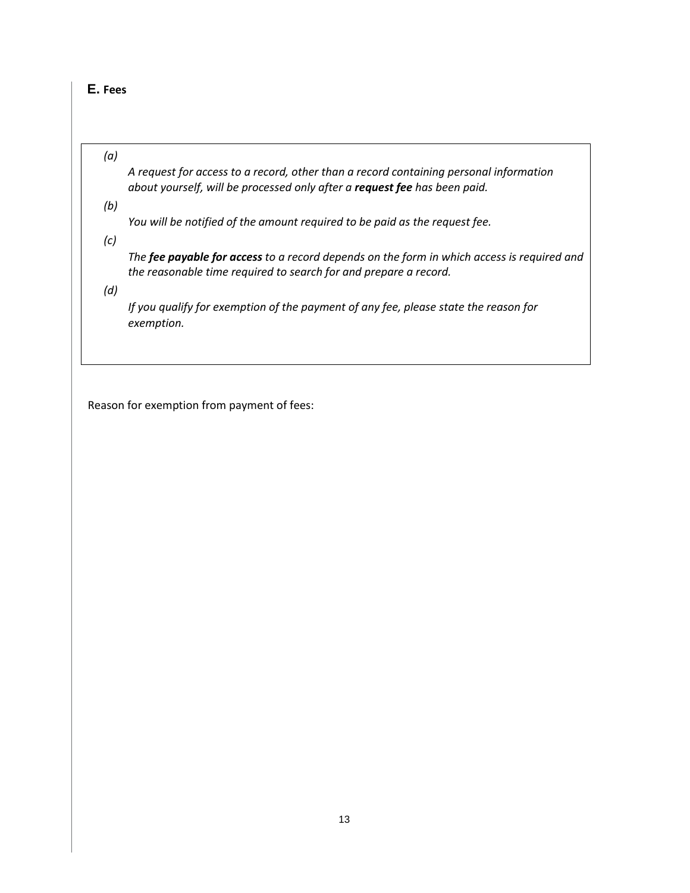# **E. Fees**

### *(a)*

*A request for access to a record, other than a record containing personal information about yourself, will be processed only after a request fee has been paid.*

*(b)* 

*You will be notified of the amount required to be paid as the request fee.*

*(c)* 

*The fee payable for access to a record depends on the form in which access is required and the reasonable time required to search for and prepare a record.*

*(d)* 

*If you qualify for exemption of the payment of any fee, please state the reason for exemption.*

Reason for exemption from payment of fees: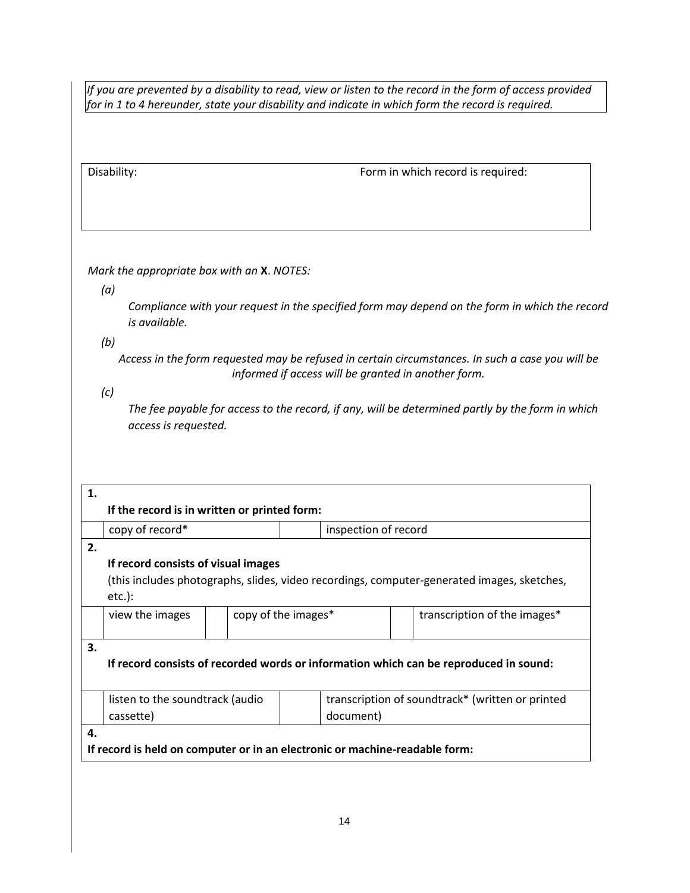*If you are prevented by a disability to read, view or listen to the record in the form of access provided for in 1 to 4 hereunder, state your disability and indicate in which form the record is required.* 

Disability:

Form in which record is required:

*Mark the appropriate box with an* **X**. *NOTES:*

*(a)* 

*Compliance with your request in the specified form may depend on the form in which the record is available.*

*(b)* 

*Access in the form requested may be refused in certain circumstances. In such a case you will be informed if access will be granted in another form.*

*(c)* 

*The fee payable for access to the record, if any, will be determined partly by the form in which access is requested.*

| 1. |                                                                                       |                     |  |                      |  |                                                                                            |  |
|----|---------------------------------------------------------------------------------------|---------------------|--|----------------------|--|--------------------------------------------------------------------------------------------|--|
|    | If the record is in written or printed form:                                          |                     |  |                      |  |                                                                                            |  |
|    | copy of record*                                                                       |                     |  | inspection of record |  |                                                                                            |  |
| 2. |                                                                                       |                     |  |                      |  |                                                                                            |  |
|    | If record consists of visual images                                                   |                     |  |                      |  |                                                                                            |  |
|    |                                                                                       |                     |  |                      |  | (this includes photographs, slides, video recordings, computer-generated images, sketches, |  |
|    | $etc.$ ):                                                                             |                     |  |                      |  |                                                                                            |  |
|    | view the images                                                                       | copy of the images* |  |                      |  | transcription of the images*                                                               |  |
|    |                                                                                       |                     |  |                      |  |                                                                                            |  |
| 3. |                                                                                       |                     |  |                      |  |                                                                                            |  |
|    | If record consists of recorded words or information which can be reproduced in sound: |                     |  |                      |  |                                                                                            |  |
|    |                                                                                       |                     |  |                      |  |                                                                                            |  |
|    | transcription of soundtrack* (written or printed<br>listen to the soundtrack (audio   |                     |  |                      |  |                                                                                            |  |
|    | document)<br>cassette)                                                                |                     |  |                      |  |                                                                                            |  |
| 4. |                                                                                       |                     |  |                      |  |                                                                                            |  |
|    | If record is held on computer or in an electronic or machine-readable form:           |                     |  |                      |  |                                                                                            |  |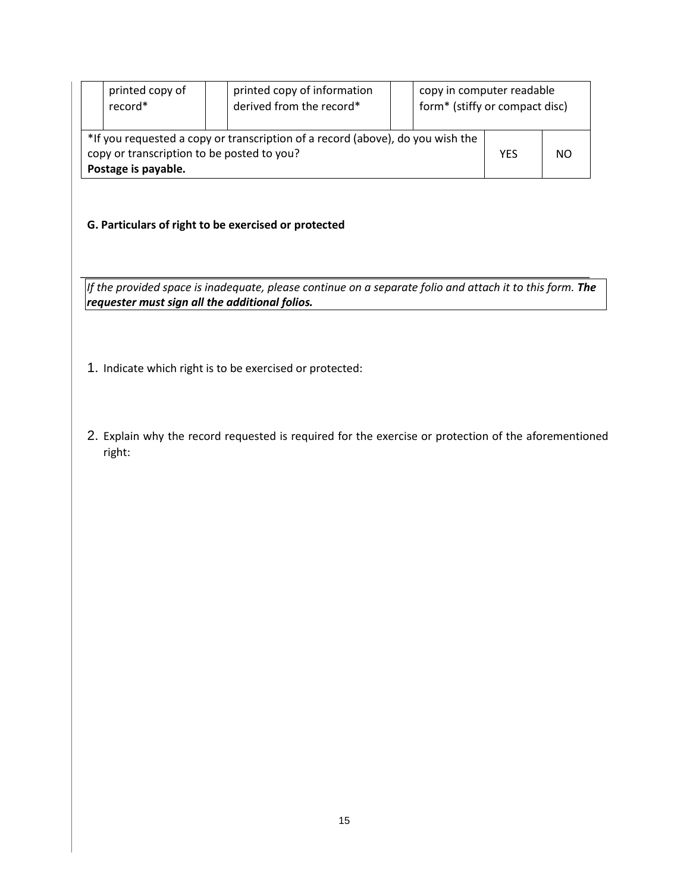|                                                                                                                                                     | printed copy of<br>record* | printed copy of information<br>derived from the record* |  |     | copy in computer readable<br>form* (stiffy or compact disc) |  |
|-----------------------------------------------------------------------------------------------------------------------------------------------------|----------------------------|---------------------------------------------------------|--|-----|-------------------------------------------------------------|--|
| *If you requested a copy or transcription of a record (above), do you wish the<br>copy or transcription to be posted to you?<br>Postage is payable. |                            |                                                         |  | YES | NO.                                                         |  |

# **G. Particulars of right to be exercised or protected**

*If the provided space is inadequate, please continue on a separate folio and attach it to this form. The requester must sign all the additional folios.*

- 1. Indicate which right is to be exercised or protected:
- 2. Explain why the record requested is required for the exercise or protection of the aforementioned right: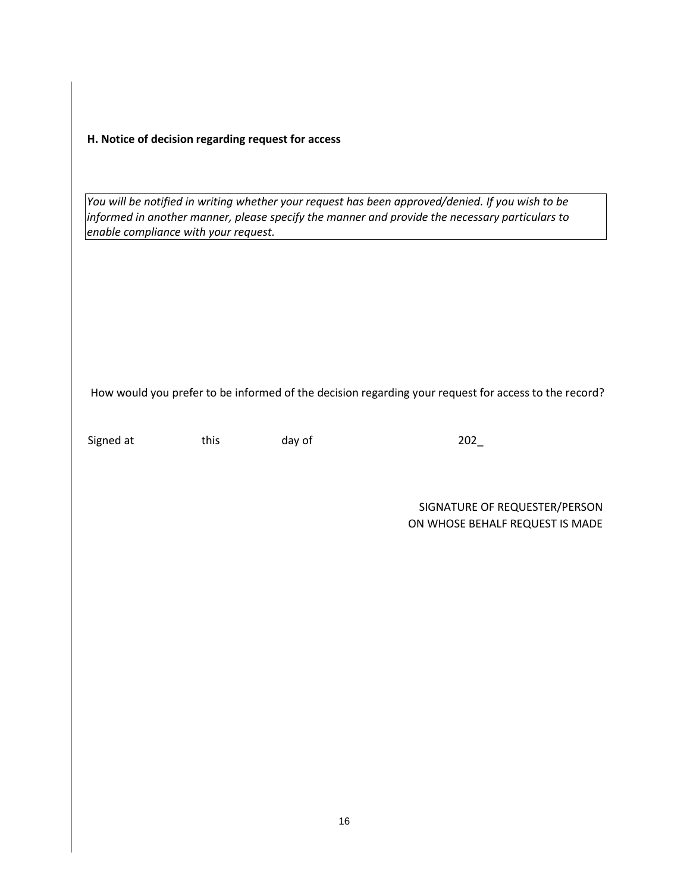**H. Notice of decision regarding request for access** 

*You will be notified in writing whether your request has been approved/denied. If you wish to be informed in another manner, please specify the manner and provide the necessary particulars to enable compliance with your request.*

How would you prefer to be informed of the decision regarding your request for access to the record?

Signed at this day of 202

SIGNATURE OF REQUESTER/PERSON ON WHOSE BEHALF REQUEST IS MADE